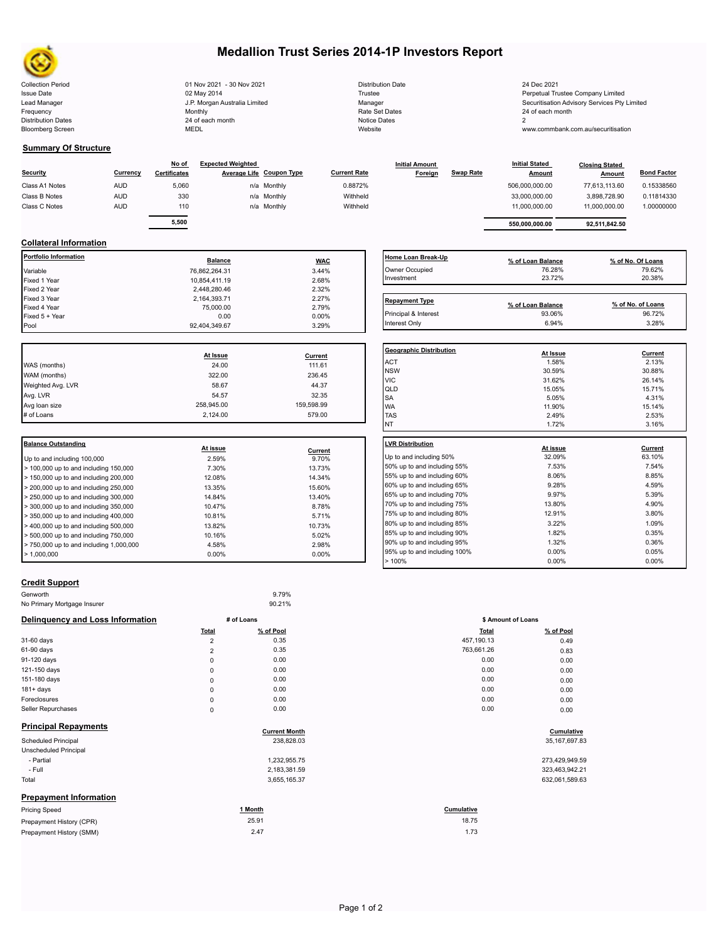

# **Medallion Trust Series 2014-1P Investors Report**

| <b>Collection Period</b>  | 01 Nov 2021 - 30 Nov 2021     | <b>Distribution Date</b> | 24 Dec 2021                              |
|---------------------------|-------------------------------|--------------------------|------------------------------------------|
| <b>Issue Date</b>         | 02 May 2014                   | <b>Trustee</b>           | Perpetual Trustee Company Limited        |
| Lead Manager              | J.P. Morgan Australia Limited | Manager                  | Securitisation Advisory Services Pty Lir |
| Frequency                 | Monthly                       | Rate Set Dates           | 24 of each month                         |
| <b>Distribution Dates</b> | 24 of each month              | Notice Dates             |                                          |
| <b>Bloomberg Screen</b>   | <b>MEDL</b>                   | Website                  | www.commbank.com.au/securitisation       |
|                           |                               |                          |                                          |

| <b>Distribution Date</b> |
|--------------------------|
| Trustee                  |
| Manager                  |
| Rate Set Dates           |
| <b>Notice Dates</b>      |
| Website                  |

### **Summary Of Structure**

| Security       | Currency   | No of<br>Certificates | <b>Expected Weighted</b> | Average Life Coupon Type | <b>Current Rate</b> | <b>Initial Amount</b><br>Foreign | <b>Swap Rate</b> | <b>Initial Stated</b><br><b>Amount</b> | <b>Closing Stated</b><br>Amount | <b>Bond Factor</b> |
|----------------|------------|-----------------------|--------------------------|--------------------------|---------------------|----------------------------------|------------------|----------------------------------------|---------------------------------|--------------------|
| Class A1 Notes | <b>AUD</b> | 5,060                 |                          | n/a Monthly              | 0.8872%             |                                  |                  | 506,000,000.00                         | 77.613.113.60                   | 0.15338560         |
| Class B Notes  | <b>AUD</b> | 330                   |                          | n/a Monthly              | Withheld            |                                  |                  | 33,000,000.00                          | 3,898,728.90                    | 0.11814330         |
| Class C Notes  | <b>AUD</b> | 110                   |                          | n/a Monthly              | Withheld            |                                  |                  | 11.000.000.00                          | 11.000.000.00                   | 1.00000000         |
|                |            |                       |                          |                          |                     |                                  |                  |                                        |                                 |                    |
|                |            | 5,500                 |                          |                          |                     |                                  |                  | 550.000.000.00                         | 92,511,842.50                   |                    |

## **Collateral Information**

| <b>Portfolio Information</b> | <b>Balance</b> | <b>WAC</b> | Home Loan Break           |
|------------------------------|----------------|------------|---------------------------|
| Variable                     | 76,862,264.31  | 3.44%      | Owner Occupied            |
| Fixed 1 Year                 | 10,854,411.19  | 2.68%      | Investment                |
| Fixed 2 Year                 | 2,448,280.46   | 2.32%      |                           |
| Fixed 3 Year                 | 2,164,393.71   | 2.27%      | <b>Repayment Type</b>     |
| Fixed 4 Year                 | 75,000.00      | 2.79%      |                           |
| Fixed 5 + Year               | 0.00           | $0.00\%$   | Principal & Interest      |
| Pool                         | 92,404,349.67  | 3.29%      | Interest Only             |
|                              |                |            | <b>Geographic Distril</b> |
|                              | At Issue       | Current    | <b>ACT</b>                |
| WAS (months)                 | 24.00          | 111.61     | <b>NSW</b>                |
| WAM (months)                 | 322.00         | 236.45     | <b>VIC</b>                |
| Weighted Avg. LVR            | 58.67          | 44.37      | QLD                       |
| Avg. LVR                     | 54.57          | 32.35      | <b>SA</b>                 |
| Avg loan size                | 258,945.00     | 159,598.99 | <b>WA</b>                 |
| # of Loans                   | 2,124.00       | 579.00     | <b>TAS</b>                |
|                              |                |            | <b>NT</b>                 |
| <b>Balance Outstanding</b>   | At issue       | Current    | <b>LVR Distribution</b>   |
| $\overline{\phantom{a}}$     | 2.500/         | 0.700/     | Un to and including       |

|                                         | At issue | Current  |                     |
|-----------------------------------------|----------|----------|---------------------|
| Up to and including 100,000             | 2.59%    | 9.70%    | Up to and including |
| $>$ 100,000 up to and including 150,000 | 7.30%    | 13.73%   | 50% up to and incl  |
| > 150,000 up to and including 200,000   | 12.08%   | 14.34%   | 55% up to and incl  |
| > 200,000 up to and including 250,000   | 13.35%   | 15.60%   | 60% up to and incl  |
| $> 250,000$ up to and including 300,000 | 14.84%   | 13.40%   | 65% up to and incl  |
| $>$ 300,000 up to and including 350,000 | 10.47%   | 8.78%    | 70% up to and incl  |
| $>$ 350,000 up to and including 400,000 | 10.81%   | 5.71%    | 75% up to and incl  |
| $>$ 400,000 up to and including 500,000 | 13.82%   | 10.73%   | 80% up to and incl  |
| > 500,000 up to and including 750,000   | 10.16%   | 5.02%    | 85% up to and incl  |
| > 750,000 up to and including 1,000,000 | 4.58%    | 2.98%    | 90% up to and incl  |
| > 1.000.000                             | $0.00\%$ | $0.00\%$ | 95% up to and incl  |
|                                         |          |          | $> 100\%$           |

| Home Loan Break-Up    | % of Loan Balance           | % of No. Of Loans           |
|-----------------------|-----------------------------|-----------------------------|
| Owner Occupied        | 76.28%                      | 79.62%                      |
| Investment            | 23.72%                      | 20.38%                      |
|                       |                             |                             |
| <b>Repayment Type</b> |                             |                             |
| Principal & Interest  | % of Loan Balance<br>93.06% | % of No. of Loans<br>96.72% |

| <b>Geographic Distribution</b> |          |         |
|--------------------------------|----------|---------|
|                                | At Issue | Current |
| <b>ACT</b>                     | 1.58%    | 2.13%   |
| <b>NSW</b>                     | 30.59%   | 30.88%  |
| <b>VIC</b>                     | 31.62%   | 26.14%  |
| QLD                            | 15.05%   | 15.71%  |
| <b>SA</b>                      | 5.05%    | 4.31%   |
| <b>WA</b>                      | 11.90%   | 15.14%  |
| <b>TAS</b>                     | 2.49%    | 2.53%   |
| INT                            | 1.72%    | 3.16%   |

| <b>LVR Distribution</b>      |          |          |
|------------------------------|----------|----------|
|                              | At issue | Current  |
| Up to and including 50%      | 32.09%   | 63.10%   |
| 50% up to and including 55%  | 7.53%    | 7.54%    |
| 55% up to and including 60%  | 8.06%    | 8.85%    |
| 60% up to and including 65%  | 9.28%    | 4.59%    |
| 65% up to and including 70%  | 9.97%    | 5.39%    |
| 70% up to and including 75%  | 13.80%   | 4.90%    |
| 75% up to and including 80%  | 12.91%   | 3.80%    |
| 80% up to and including 85%  | 3.22%    | 1.09%    |
| 85% up to and including 90%  | 1.82%    | 0.35%    |
| 90% up to and including 95%  | 1.32%    | 0.36%    |
| 95% up to and including 100% | $0.00\%$ | 0.05%    |
| >100%                        | $0.00\%$ | $0.00\%$ |
|                              |          |          |

## **Credit Support**

| Genworth                         |                | 9.79%                |              |                    |  |  |
|----------------------------------|----------------|----------------------|--------------|--------------------|--|--|
| No Primary Mortgage Insurer      |                | 90.21%               |              |                    |  |  |
| Delinquency and Loss Information | # of Loans     |                      |              | \$ Amount of Loans |  |  |
|                                  | <b>Total</b>   | % of Pool            | <b>Total</b> | % of Pool          |  |  |
| 31-60 days                       | $\overline{2}$ | 0.35                 | 457,190.13   | 0.49               |  |  |
| 61-90 days                       | $\overline{2}$ | 0.35                 | 763,661.26   | 0.83               |  |  |
| 91-120 days                      | $\mathsf 0$    | 0.00                 | 0.00         | 0.00               |  |  |
| 121-150 days                     | $\mathbf 0$    | 0.00                 | 0.00         | 0.00               |  |  |
| 151-180 days                     | $\mathsf 0$    | 0.00                 | 0.00         | 0.00               |  |  |
| $181 + days$                     | $\mathsf 0$    | 0.00                 | 0.00         | 0.00               |  |  |
| Foreclosures                     | $\mathsf 0$    | 0.00                 | 0.00         | 0.00               |  |  |
| Seller Repurchases               | $\mathsf 0$    | 0.00                 | 0.00         | 0.00               |  |  |
| <b>Principal Repayments</b>      |                | <b>Current Month</b> |              | Cumulative         |  |  |
| Scheduled Principal              |                | 238,828.03           |              | 35, 167, 697.83    |  |  |
| <b>Unscheduled Principal</b>     |                |                      |              |                    |  |  |
| - Partial                        |                | 1,232,955.75         |              | 273,429,949.59     |  |  |
| - Full                           |                | 2,183,381.59         |              | 323,463,942.21     |  |  |

# Total 3,655,165.37 632,061,589.63

# **Prepayment Information**

| <b>Pricing Speed</b>     | Month | Cumulative |
|--------------------------|-------|------------|
| Prepayment History (CPR) | 25.91 | 18.75      |
| Prepayment History (SMM) | 2.47  | 1.73       |